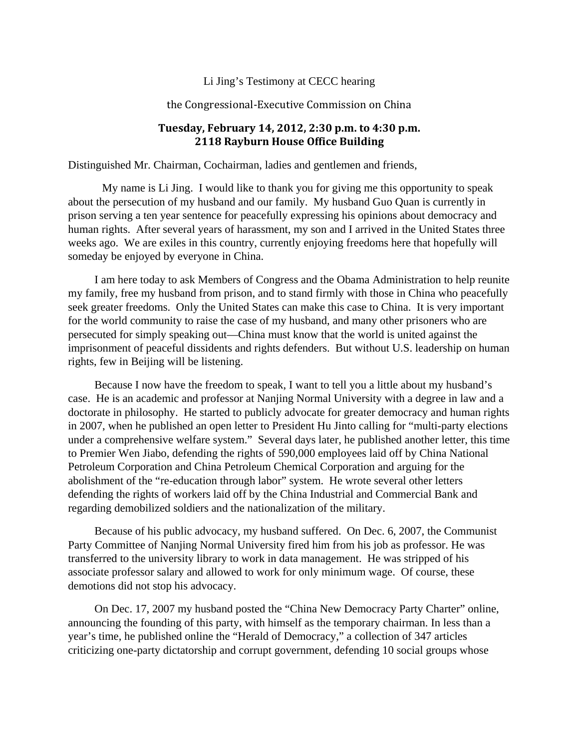## Li Jing's Testimony at CECC hearing

## the Congressional-Executive Commission on China

## **Tuesday, February 14, 2012, 2:30 p.m. to 4:30 p.m. 2118 Rayburn House Office Building**

Distinguished Mr. Chairman, Cochairman, ladies and gentlemen and friends,

 My name is Li Jing. I would like to thank you for giving me this opportunity to speak about the persecution of my husband and our family. My husband Guo Quan is currently in prison serving a ten year sentence for peacefully expressing his opinions about democracy and human rights. After several years of harassment, my son and I arrived in the United States three weeks ago. We are exiles in this country, currently enjoying freedoms here that hopefully will someday be enjoyed by everyone in China.

I am here today to ask Members of Congress and the Obama Administration to help reunite my family, free my husband from prison, and to stand firmly with those in China who peacefully seek greater freedoms. Only the United States can make this case to China. It is very important for the world community to raise the case of my husband, and many other prisoners who are persecuted for simply speaking out—China must know that the world is united against the imprisonment of peaceful dissidents and rights defenders. But without U.S. leadership on human rights, few in Beijing will be listening.

Because I now have the freedom to speak, I want to tell you a little about my husband's case. He is an academic and professor at Nanjing Normal University with a degree in law and a doctorate in philosophy. He started to publicly advocate for greater democracy and human rights in 2007, when he published an open letter to President Hu Jinto calling for "multi-party elections under a comprehensive welfare system." Several days later, he published another letter, this time to Premier Wen Jiabo, defending the rights of 590,000 employees laid off by China National Petroleum Corporation and China Petroleum Chemical Corporation and arguing for the abolishment of the "re-education through labor" system. He wrote several other letters defending the rights of workers laid off by the China Industrial and Commercial Bank and regarding demobilized soldiers and the nationalization of the military.

Because of his public advocacy, my husband suffered. On Dec. 6, 2007, the Communist Party Committee of Nanjing Normal University fired him from his job as professor. He was transferred to the university library to work in data management. He was stripped of his associate professor salary and allowed to work for only minimum wage. Of course, these demotions did not stop his advocacy.

On Dec. 17, 2007 my husband posted the "China New Democracy Party Charter" online, announcing the founding of this party, with himself as the temporary chairman. In less than a year's time, he published online the "Herald of Democracy," a collection of 347 articles criticizing one-party dictatorship and corrupt government, defending 10 social groups whose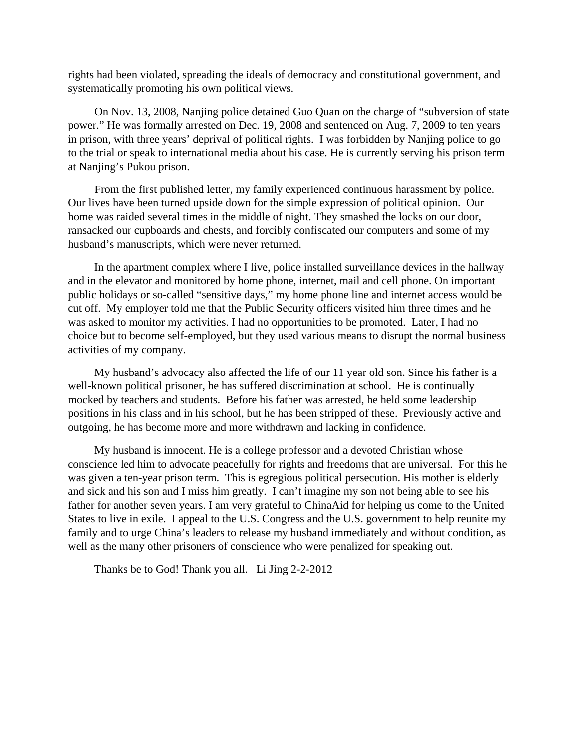rights had been violated, spreading the ideals of democracy and constitutional government, and systematically promoting his own political views.

On Nov. 13, 2008, Nanjing police detained Guo Quan on the charge of "subversion of state power." He was formally arrested on Dec. 19, 2008 and sentenced on Aug. 7, 2009 to ten years in prison, with three years' deprival of political rights. I was forbidden by Nanjing police to go to the trial or speak to international media about his case. He is currently serving his prison term at Nanjing's Pukou prison.

From the first published letter, my family experienced continuous harassment by police. Our lives have been turned upside down for the simple expression of political opinion. Our home was raided several times in the middle of night. They smashed the locks on our door, ransacked our cupboards and chests, and forcibly confiscated our computers and some of my husband's manuscripts, which were never returned.

In the apartment complex where I live, police installed surveillance devices in the hallway and in the elevator and monitored by home phone, internet, mail and cell phone. On important public holidays or so-called "sensitive days," my home phone line and internet access would be cut off. My employer told me that the Public Security officers visited him three times and he was asked to monitor my activities. I had no opportunities to be promoted. Later, I had no choice but to become self-employed, but they used various means to disrupt the normal business activities of my company.

My husband's advocacy also affected the life of our 11 year old son. Since his father is a well-known political prisoner, he has suffered discrimination at school. He is continually mocked by teachers and students. Before his father was arrested, he held some leadership positions in his class and in his school, but he has been stripped of these. Previously active and outgoing, he has become more and more withdrawn and lacking in confidence.

My husband is innocent. He is a college professor and a devoted Christian whose conscience led him to advocate peacefully for rights and freedoms that are universal. For this he was given a ten-year prison term. This is egregious political persecution. His mother is elderly and sick and his son and I miss him greatly. I can't imagine my son not being able to see his father for another seven years. I am very grateful to ChinaAid for helping us come to the United States to live in exile. I appeal to the U.S. Congress and the U.S. government to help reunite my family and to urge China's leaders to release my husband immediately and without condition, as well as the many other prisoners of conscience who were penalized for speaking out.

Thanks be to God! Thank you all. Li Jing 2-2-2012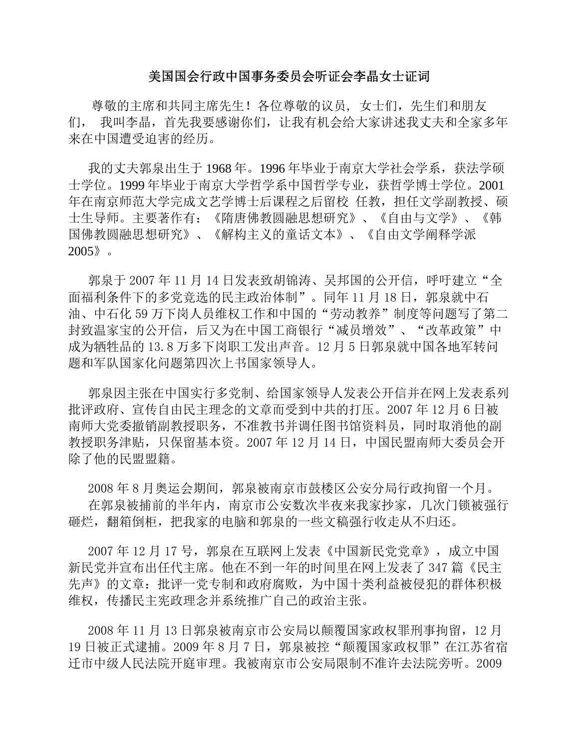## 美国国会行政中国事务委员会听证会李晶女士证词

 尊敬的主席和共同主席先生!各位尊敬的议员, 女士们,先生们和朋友 们, 我叫李晶,首先我要感谢你们,让我有机会给大家讲述我丈夫和全家多年 来在中国遭受迫害的经历。

我的丈夫郭泉出生于 1968 年。1996 年毕业于南京大学社会学系,获法学硕 士学位。1999年毕业于南京大学哲学系中国哲学专业,获哲学博士学位。2001 年在南京师范大学完成文艺学博士后课程之后留校 任教,担任文学副教授、硕 士生导师。主要著作有:《隋唐佛教圆融思想研究》、《自由与文学》、《韩 国佛教圆融思想研究》、《解构主义的童话文本》、《自由文学阐释学派 2005》。

郭泉于 2007年11月14日发表致胡锦涛、吴邦国的公开信,呼吁建立"全 面福利条件下的多党竞选的民主政治体制"。同年11月18日, 郭泉就中石 油、中石化 59 万下岗人员维权工作和中国的"劳动教养"制度等问题写了第二 封致温家宝的公开信,后又为在中国工商银行"减员增效"、"改革政策"中 成为牺牲品的 13.8 万多下岗职工发出声音。12 月 5 日郭泉就中国各地军转问 题和军队国家化问题第四次上书国家领导人。

郭泉因主张在中国实行多党制、给国家领导人发表公开信并在网上发表系列 批评政府、宣传自由民主理念的文章而受到中共的打压。2007 年 12 月 6 日被 南师大党委撤销副教授职务,不准教书并调任图书馆资料员,同时取消他的副 教授职务津贴,只保留基本资。2007 年 12 月 14 日,中国民盟南师大委员会开 除了他的民盟盟籍。

2008 年 8 月奥运会期间,郭泉被南京市鼓楼区公安分局行政拘留一个月。 在郭泉被捕前的半年内,南京市公安数次半夜来我家抄家,几次门锁被强行 砸烂,翻箱倒柜,把我家的电脑和郭泉的一些文稿强行收走从不归还。

2007年12月17号,郭泉在互联网上发表《中国新民党党章》,成立中国 新民党并宣布出任代主席。他在不到一年的时间里在网上发表了 347 篇《民主 先声》的文章:批评一党专制和政府腐败,为中国十类利益被侵犯的群体积极 维权,传播民主宪政理念并系统推广自己的政治主张。

2008 年 11 月 13 日郭泉被南京市公安局以颠覆国家政权罪刑事拘留,12 月 19 日被正式逮捕。2009 年 8 月 7 日, 郭泉被控"颠覆国家政权罪"在江苏省宿 迁市中级人民法院开庭审理。我被南京市公安局限制不准许去法院旁听。2009